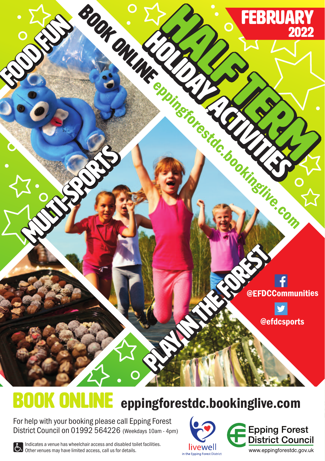

# **BOOK ONLINE** eppingforestdc.bookinglive.com

For help with your booking please call Epping Forest District Council on 01992 564226 (Weekdays 10am - 4pm)

livewell in the Epping Forest District



Indicates a venue has wheelchair access and disabled toilet facilities.<br>
Other venues may have limited access, call us for details.